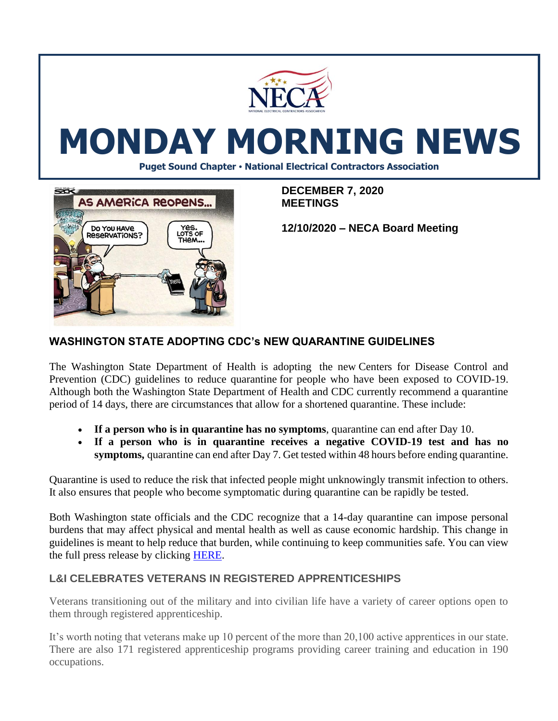

# **MONDAY MORNING NEWS**

**Puget Sound Chapter • National Electrical Contractors Association**



**DECEMBER 7, 2020 MEETINGS**

**12/10/2020 – NECA Board Meeting**

## **WASHINGTON STATE ADOPTING CDC's NEW QUARANTINE GUIDELINES**

The Washington State Department of Health is adopting the new Centers for [Disease](https://www.cdc.gov/coronavirus/2019-ncov/more/scientific-brief-options-to-reduce-quarantine.html) Control and [Prevention](https://www.cdc.gov/coronavirus/2019-ncov/more/scientific-brief-options-to-reduce-quarantine.html) (CDC) guidelines to reduce quarantine for people who have been exposed to COVID-19. Although both the Washington State Department of Health and CDC currently recommend a quarantine period of 14 days, there are circumstances that allow for a shortened quarantine. These include:

- **If a person who is in quarantine has no symptoms**, quarantine can end after Day 10.
- **If a person who is in quarantine receives a negative COVID-19 test and has no symptoms,** quarantine can end after Day 7. Get tested within 48 hours before ending quarantine.

Quarantine is used to reduce the risk that infected people might unknowingly transmit infection to others. It also ensures that people who become symptomatic during quarantine can be rapidly be tested.

Both Washington state officials and the CDC recognize that a 14-day quarantine can impose personal burdens that may affect physical and mental health as well as cause economic hardship. This change in guidelines is meant to help reduce that burden, while continuing to keep communities safe. You can view the full press release by clicking [HERE.](https://www.doh.wa.gov/Newsroom/Articles/ID/2488/Washington-state-adopting-CDCs-new-quarantine-guidelines)

#### **L&I CELEBRATES VETERANS IN REGISTERED APPRENTICESHIPS**

Veterans transitioning out of the military and into civilian life have a variety of career options open to them through registered apprenticeship.

It's worth noting that veterans make up 10 percent of the more than 20,100 active apprentices in our state. There are also 171 registered apprenticeship programs providing career training and education in 190 occupations.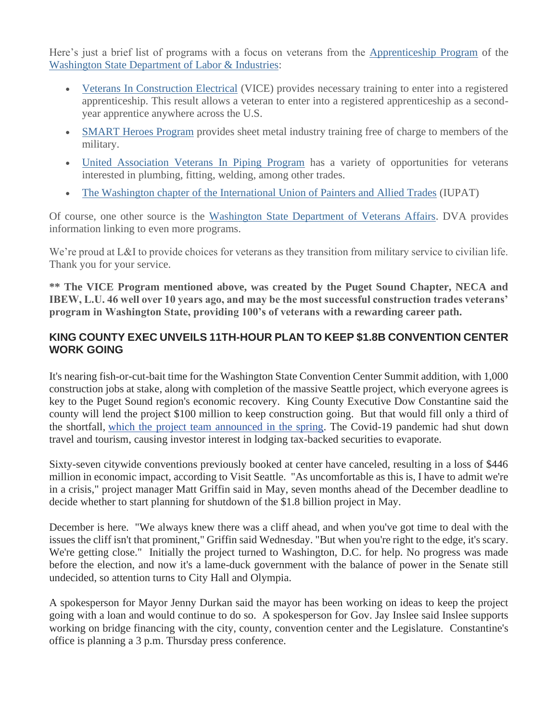Here's just a brief list of programs with a focus on veterans from the [Apprenticeship Program](https://lnks.gd/l/eyJhbGciOiJIUzI1NiJ9.eyJidWxsZXRpbl9saW5rX2lkIjoxMDEsInVyaSI6ImJwMjpjbGljayIsImJ1bGxldGluX2lkIjoiMjAyMDExMTAuMzAyMjM4NDEiLCJ1cmwiOiJodHRwczovL3d3dy5sbmkud2EuZ292L2xpY2Vuc2luZy1wZXJtaXRzL2FwcHJlbnRpY2VzaGlwL2FwcHJlbnRpY2VzaGlwLXByZXBhcmF0aW9uP3V0bV9tZWRpdW09ZW1haWwmdXRtX3NvdXJjZT1nb3ZkZWxpdmVyeSJ9.lb6bnSjqc_MJ0KTZCOgPn6YJuUuz5-2ddD0iENhv_j0/s/765554655/br/88347323905-l) of the [Washington State Department of Labor & Industries:](https://lnks.gd/l/eyJhbGciOiJIUzI1NiJ9.eyJidWxsZXRpbl9saW5rX2lkIjoxMDIsInVyaSI6ImJwMjpjbGljayIsImJ1bGxldGluX2lkIjoiMjAyMDExMTAuMzAyMjM4NDEiLCJ1cmwiOiJodHRwOi8vd3d3LmxuaS53YS5nb3Y_dXRtX21lZGl1bT1lbWFpbCZ1dG1fc291cmNlPWdvdmRlbGl2ZXJ5In0.ba8IjXBs38n4OMw30NObKueVYWFQMYjH8CqE1ZXlIBc/s/765554655/br/88347323905-l)

- [Veterans In Construction Electrical](https://lnks.gd/l/eyJhbGciOiJIUzI1NiJ9.eyJidWxsZXRpbl9saW5rX2lkIjoxMDMsInVyaSI6ImJwMjpjbGljayIsImJ1bGxldGluX2lkIjoiMjAyMDExMTAuMzAyMjM4NDEiLCJ1cmwiOiJodHRwczovL3NpdGVzLmdvb2dsZS5jb20vc2l0ZS9qYXRjdmljZS9ob21lP3V0bV9tZWRpdW09ZW1haWwmdXRtX3NvdXJjZT1nb3ZkZWxpdmVyeSJ9.IkVQrpVQKMdnE-e26aoUDSIPSbLKgk9GBHBTka53KZ4/s/765554655/br/88347323905-l) (VICE) provides necessary training to enter into a registered apprenticeship. This result allows a veteran to enter into a registered apprenticeship as a secondyear apprentice anywhere across the U.S.
- [SMART Heroes Program](https://lnks.gd/l/eyJhbGciOiJIUzI1NiJ9.eyJidWxsZXRpbl9saW5rX2lkIjoxMDQsInVyaSI6ImJwMjpjbGljayIsImJ1bGxldGluX2lkIjoiMjAyMDExMTAuMzAyMjM4NDEiLCJ1cmwiOiJodHRwczovL3d3dy5idWlsZHlvdXJmdXR1cmV3YS5jb20vc3R1ZGVudHMvc21hcnQtaGVyb2VzP3V0bV9tZWRpdW09ZW1haWwmdXRtX3NvdXJjZT1nb3ZkZWxpdmVyeSJ9.WL6jfHEN-C2bZQG6mGxvHz9nC7vtvHT8PYDn-IwUsfs/s/765554655/br/88347323905-l) provides sheet metal industry training free of charge to members of the military.
- [United Association Veterans In Piping Program](https://lnks.gd/l/eyJhbGciOiJIUzI1NiJ9.eyJidWxsZXRpbl9saW5rX2lkIjoxMDUsInVyaSI6ImJwMjpjbGljayIsImJ1bGxldGluX2lkIjoiMjAyMDExMTAuMzAyMjM4NDEiLCJ1cmwiOiJodHRwczovL3d3dy51YXZpcC5vcmcvdmV0ZXJhbnM_dXRtX21lZGl1bT1lbWFpbCZ1dG1fc291cmNlPWdvdmRlbGl2ZXJ5In0.s3SYoGYSh-3LcZKrO1hKsQ6k5Cw-VUxXU2tElZp9kKU/s/765554655/br/88347323905-l) has a variety of opportunities for veterans interested in plumbing, fitting, welding, among other trades.
- [The Washington chapter of the International Union of Painters and Allied Trades](https://lnks.gd/l/eyJhbGciOiJIUzI1NiJ9.eyJidWxsZXRpbl9saW5rX2lkIjoxMDYsInVyaSI6ImJwMjpjbGljayIsImJ1bGxldGluX2lkIjoiMjAyMDExMTAuMzAyMjM4NDEiLCJ1cmwiOiJodHRwOi8vd3d3LndhYnVpbGRpbmd0cmFkZXMub3JnL2NvbW11bml0eS9hcHByZW50aWNlc2hpcC1wcm9ncmFtcy9pbnRlcm5hdGlvbmFsLXVuaW9uLXBhaW50ZXJzLWFsbGllZC10cmFkZXMvP3V0bV9tZWRpdW09ZW1haWwmdXRtX3NvdXJjZT1nb3ZkZWxpdmVyeSJ9.MOtlk9MiRTdlUY_t5d-YJRa2xX6MhWXn4a94Hwz54Cw/s/765554655/br/88347323905-l) (IUPAT)

Of course, one other source is the [Washington State Department of Veterans Affairs.](https://lnks.gd/l/eyJhbGciOiJIUzI1NiJ9.eyJidWxsZXRpbl9saW5rX2lkIjoxMDcsInVyaSI6ImJwMjpjbGljayIsImJ1bGxldGluX2lkIjoiMjAyMDExMTAuMzAyMjM4NDEiLCJ1cmwiOiJodHRwczovL3d3dy5kdmEud2EuZ292L3ZldGVyYW5zLXRoZWlyLWZhbWlsaWVzL3ZldGVyYW5zLWJlbmVmaXRzL2VkdWNhdGlvbi1hbmQtdHJhaW5pbmcvYXBwcmVudGljZXNoaXA_dXRtX21lZGl1bT1lbWFpbCZ1dG1fc291cmNlPWdvdmRlbGl2ZXJ5In0.CO3FN8OEDomEsGbYXF5NE19lsRY4iNJMRwi8IKtamxA/s/765554655/br/88347323905-l) DVA provides information linking to even more programs.

We're proud at L&I to provide choices for veterans as they transition from military service to civilian life. Thank you for your service.

**\*\* The VICE Program mentioned above, was created by the Puget Sound Chapter, NECA and IBEW, L.U. 46 well over 10 years ago, and may be the most successful construction trades veterans' program in Washington State, providing 100's of veterans with a rewarding career path.** 

# **KING COUNTY EXEC UNVEILS 11TH-HOUR PLAN TO KEEP \$1.8B CONVENTION CENTER WORK GOING**

It's nearing fish-or-cut-bait time for the Washington State Convention Center Summit addition, with 1,000 construction jobs at stake, along with completion of the massive Seattle project, which everyone agrees is key to the Puget Sound region's economic recovery. King County Executive Dow Constantine said the county will lend the project \$100 million to keep construction going. But that would fill only a third of the shortfall, [which the project team announced in the spring.](https://www.bizjournals.com/seattle/news/2020/05/15/seattles-mega-convention-center-project-seeks-aid.html) The Covid-19 pandemic had shut down travel and tourism, causing investor interest in lodging tax-backed securities to evaporate.

Sixty-seven citywide conventions previously booked at center have canceled, resulting in a loss of \$446 million in economic impact, according to Visit Seattle. "As uncomfortable as this is, I have to admit we're in a crisis," project manager Matt Griffin said in May, seven months ahead of the December deadline to decide whether to start planning for shutdown of the \$1.8 billion project in May.

December is here. "We always knew there was a cliff ahead, and when you've got time to deal with the issues the cliff isn't that prominent," Griffin said Wednesday. "But when you're right to the edge, it's scary. We're getting close." Initially the project turned to Washington, D.C. for help. No progress was made before the election, and now it's a lame-duck government with the balance of power in the Senate still undecided, so attention turns to City Hall and Olympia.

A spokesperson for Mayor Jenny Durkan said the mayor has been working on ideas to keep the project going with a loan and would continue to do so. A spokesperson for Gov. Jay Inslee said Inslee supports working on bridge financing with the city, county, convention center and the Legislature. Constantine's office is planning a 3 p.m. Thursday press conference.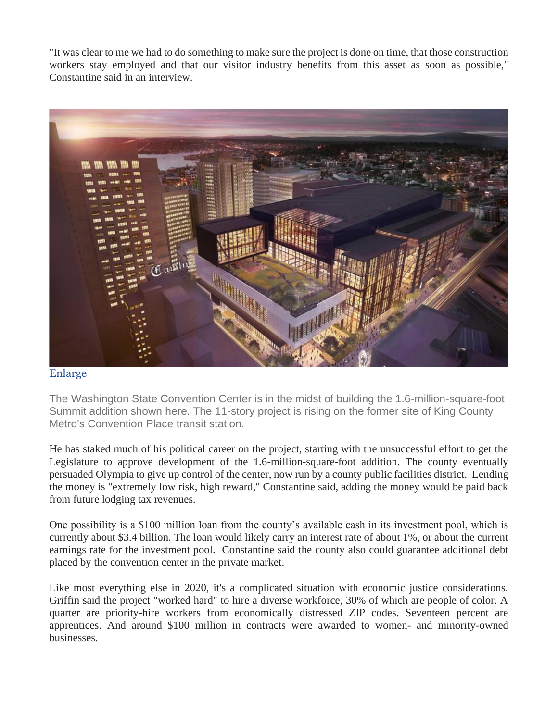"It was clear to me we had to do something to make sure the project is done on time, that those construction workers stay employed and that our visitor industry benefits from this asset as soon as possible," Constantine said in an interview.



#### [Enlarge](https://www.bizjournals.com/)

The Washington State Convention Center is in the midst of building the 1.6-million-square-foot Summit addition shown here. The 11-story project is rising on the former site of King County Metro's Convention Place transit station.

He has staked much of his political career on the project, starting with the unsuccessful effort to get the Legislature to approve development of the 1.6-million-square-foot addition. The county eventually persuaded Olympia to give up control of the center, now run by a county public facilities district. Lending the money is "extremely low risk, high reward," Constantine said, adding the money would be paid back from future lodging tax revenues.

One possibility is a \$100 million loan from the county's available cash in its investment pool, which is currently about \$3.4 billion. The loan would likely carry an interest rate of about 1%, or about the current earnings rate for the investment pool. Constantine said the county also could guarantee additional debt placed by the convention center in the private market.

Like most everything else in 2020, it's a complicated situation with economic justice considerations. Griffin said the project "worked hard" to hire a diverse workforce, 30% of which are people of color. A quarter are priority-hire workers from economically distressed ZIP codes. Seventeen percent are apprentices. And around \$100 million in contracts were awarded to women- and minority-owned businesses.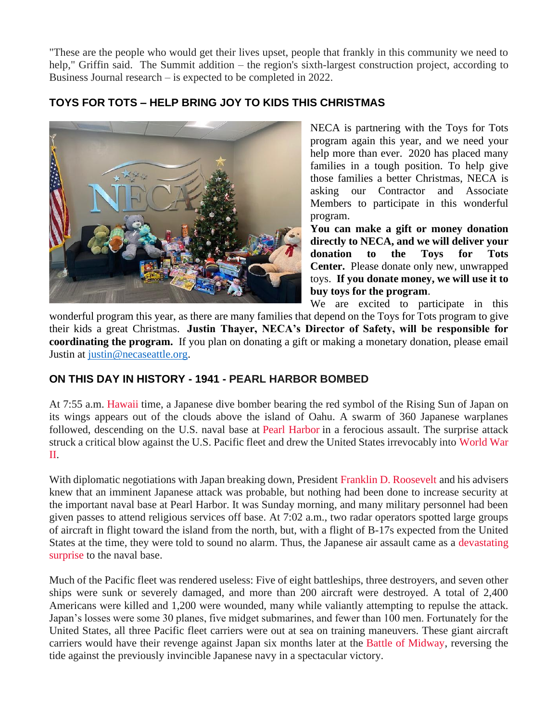"These are the people who would get their lives upset, people that frankly in this community we need to help," Griffin said. The Summit addition – the region's sixth-largest construction project, according to Business Journal research – is expected to be completed in 2022.

# **TOYS FOR TOTS – HELP BRING JOY TO KIDS THIS CHRISTMAS**



NECA is partnering with the Toys for Tots program again this year, and we need your help more than ever. 2020 has placed many families in a tough position. To help give those families a better Christmas, NECA is asking our Contractor and Associate Members to participate in this wonderful program.

**You can make a gift or money donation directly to NECA, and we will deliver your donation to the Toys for Tots Center.** Please donate only new, unwrapped toys. **If you donate money, we will use it to buy toys for the program**.

We are excited to participate in this wonderful program this year, as there are many families that depend on the Toys for Tots program to give their kids a great Christmas. **Justin Thayer, NECA's Director of Safety, will be responsible for coordinating the program.** If you plan on donating a gift or making a monetary donation, please email Justin at [justin@necaseattle.org.](mailto:justin@necaseattle.org)

## **ON THIS DAY IN HISTORY - 1941 - PEARL HARBOR BOMBED**

At 7:55 a.m. [Hawaii](https://www.history.com/topics/us-states/hawaii) time, a Japanese dive bomber bearing the red symbol of the Rising Sun of Japan on its wings appears out of the clouds above the island of Oahu. A swarm of 360 Japanese warplanes followed, descending on the U.S. naval base at [Pearl Harbor](https://www.history.com/topics/world-war-ii/pearl-harbor) in a ferocious assault. The surprise attack struck a critical blow against the U.S. Pacific fleet and drew the United States irrevocably into [World War](https://www.history.com/topics/world-war-ii)  [II.](https://www.history.com/topics/world-war-ii)

With diplomatic negotiations with Japan breaking down, President [Franklin D. Roosevelt](https://www.history.com/topics/us-presidents/franklin-d-roosevelt) and his advisers knew that an imminent Japanese attack was probable, but nothing had been done to increase security at the important naval base at Pearl Harbor. It was Sunday morning, and many military personnel had been given passes to attend religious services off base. At 7:02 a.m., two radar operators spotted large groups of aircraft in flight toward the island from the north, but, with a flight of B-17s expected from the United States at the time, they were told to sound no alarm. Thus, the Japanese air assault came as a [devastating](https://www.history.com/news/pearl-harbor-veteran-japan-bomber)  [surprise](https://www.history.com/news/pearl-harbor-veteran-japan-bomber) to the naval base.

Much of the Pacific fleet was rendered useless: Five of eight battleships, three destroyers, and seven other ships were sunk or severely damaged, and more than 200 aircraft were destroyed. A total of 2,400 Americans were killed and 1,200 were wounded, many while valiantly attempting to repulse the attack. Japan's losses were some 30 planes, five midget submarines, and fewer than 100 men. Fortunately for the United States, all three Pacific fleet carriers were out at sea on training maneuvers. These giant aircraft carriers would have their revenge against Japan six months later at the [Battle of Midway,](https://www.history.com/topics/world-war-ii/battle-of-midway) reversing the tide against the previously invincible Japanese navy in a spectacular victory.